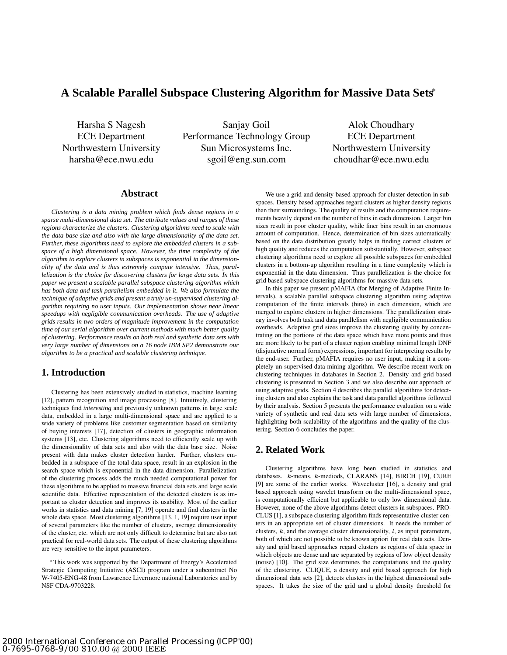# **A Scalable Parallel Subspace Clustering Algorithm for Massive Data Sets**

Harsha S Nagesh ECE Department Northwestern University harsha@ece.nwu.edu

Sanjay Goil Performance Technology Group Sun Microsystems Inc. sgoil@eng.sun.com

Alok Choudhary ECE Department Northwestern University choudhar@ece.nwu.edu

# **Abstract**

*Clustering is a data mining problem which finds dense regions in a sparse multi-dimensional data set. The attribute values and ranges of these regions characterize the clusters. Clustering algorithms need to scale with the data base size and also with the large dimensionality of the data set. Further, these algorithms need to explore the embedded clusters in a subspace of a high dimensional space. However, the time complexity of the algorithm to explore clusters in subspaces is exponential in the dimensionality of the data and is thus extremely compute intensive. Thus, parallelization is the choice for discovering clusters for large data sets. In this paper we present a scalable parallel subspace clustering algorithm which has both data and task parallelism embedded in it. We also formulate the technique of adaptive grids and present a truly un-supervised clustering algorithm requiring no user inputs. Our implementation shows near linear speedups with negligible communication overheads. The use of adaptive grids results in two orders of magnitude improvement in the computation time of our serial algorithm over current methods with much better quality of clustering. Performance results on both real and synthetic data sets with very large number of dimensions on a 16 node IBM SP2 demonstrate our algorithm to be a practical and scalable clustering technique.*

# **1. Introduction**

Clustering has been extensively studied in statistics, machine learning [12], pattern recognition and image processing [8]. Intuitively, clustering techniques find *interesting* and previously unknown patterns in large scale data, embedded in a large multi-dimensional space and are applied to a wide variety of problems like customer segmentation based on similarity of buying interests [17], detection of clusters in geographic information systems [13], etc. Clustering algorithms need to efficiently scale up with the dimensionality of data sets and also with the data base size. Noise present with data makes cluster detection harder. Further, clusters embedded in a subspace of the total data space, result in an explosion in the search space which is exponential in the data dimension. Parallelization of the clustering process adds the much needed computational power for these algorithms to be applied to massive financial data sets and large scale scientific data. Effective representation of the detected clusters is as important as cluster detection and improves its usability. Most of the earlier works in statistics and data mining [7, 19] operate and find clusters in the whole data space. Most clustering algorithms [13, 1, 19] require user input of several parameters like the number of clusters, average dimensionality of the cluster, etc. which are not only difficult to determine but are also not practical for real-world data sets. The output of these clustering algorithms are very sensitive to the input parameters.

We use a grid and density based approach for cluster detection in subspaces. Density based approaches regard clusters as higher density regions than their surroundings. The quality of results and the computation requirements heavily depend on the number of bins in each dimension. Larger bin sizes result in poor cluster quality, while finer bins result in an enormous amount of computation. Hence, determination of bin sizes automatically based on the data distribution greatly helps in finding correct clusters of high quality and reduces the computation substantially. However, subspace clustering algorithms need to explore all possible subspaces for embedded clusters in a bottom-up algorithm resulting in a time complexity which is exponential in the data dimension. Thus parallelization is the choice for grid based subspace clustering algorithms for massive data sets.

In this paper we present pMAFIA (for Merging of Adaptive Finite Intervals), a scalable parallel subspace clustering algorithm using adaptive computation of the finite intervals (bins) in each dimension, which are merged to explore clusters in higher dimensions. The parallelization strategy involves both task and data parallelism with negligible communication overheads. Adaptive grid sizes improve the clustering quality by concentrating on the portions of the data space which have more points and thus are more likely to be part of a cluster region enabling minimal length DNF (disjunctive normal form) expressions, important for interpreting results by the end-user. Further, pMAFIA requires no user input, making it a completely un-supervised data mining algorithm. We describe recent work on clustering techniques in databases in Section 2. Density and grid based clustering is presented in Section 3 and we also describe our approach of using adaptive grids. Section 4 describes the parallel algorithms for detecting clusters and also explains the task and data parallel algorithms followed by their analysis. Section 5 presents the performance evaluation on a wide variety of synthetic and real data sets with large number of dimensions, highlighting both scalability of the algorithms and the quality of the clustering. Section 6 concludes the paper.

# **2. Related Work**

Clustering algorithms have long been studied in statistics and databases. k-means, k-mediods, CLARANS [14], BIRCH [19], CURE [9] are some of the earlier works. Wavecluster [16], a density and grid based approach using wavelet transform on the multi-dimensional space, is computationally efficient but applicable to only low dimensional data. However, none of the above algorithms detect clusters in subspaces. PRO-CLUS [1], a subspace clustering algorithm finds representative cluster centers in an appropriate set of cluster dimensions. It needs the number of clusters,  $k$ , and the average cluster dimensionality,  $l$ , as input parameters, both of which are not possible to be known apriori for real data sets. Density and grid based approaches regard clusters as regions of data space in which objects are dense and are separated by regions of low object density (noise) [10]. The grid size determines the computations and the quality of the clustering. CLIQUE, a density and grid based approach for high dimensional data sets [2], detects clusters in the highest dimensional subspaces. It takes the size of the grid and a global density threshold for

This work was supported by the Department of Energy's Accelerated Strategic Computing Initiative (ASCI) program under a subcontract No W-7405-ENG-48 from Lawarence Livermore national Laboratories and by NSF CDA-9703228.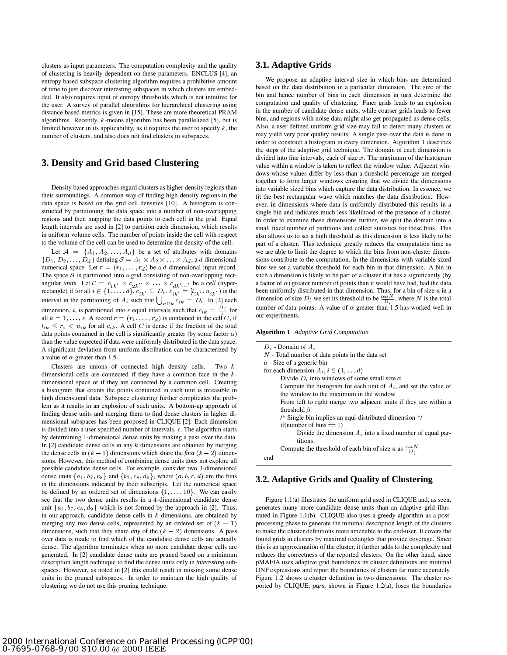clusters as input parameters. The computation complexity and the quality of clustering is heavily dependent on these parameters. ENCLUS [4], an entropy based subspace clustering algorithm requires a prohibitive amount of time to just discover interesting subspaces in which clusters are embedded. It also requires input of entropy thresholds which is not intuitive for the user. A survey of parallel algorithms for hierarchical clustering using distance based metrics is given in [15]. These are more theoretical PRAM algorithms. Recently, <sup>k</sup>-means algorithm has been parallelized [5], but is limited however in its applicability, as it requires the user to specify  $k$ , the number of clusters, and also does not find clusters in subspaces.

# **3. Density and Grid based Clustering**

Density based approaches regard clusters as higher density regions than their surroundings. A common way of finding high-density regions in the data space is based on the grid cell densities [10]. A histogram is constructed by partitioning the data space into a number of non-overlapping regions and then mapping the data points to each cell in the grid. Equal length intervals are used in [2] to partition each dimension, which results in uniform volume cells. The number of points inside the cell with respect to the volume of the cell can be used to determine the density of the cell.

Let  $A = \{A_1, A_2, \ldots, A_d\}$  be a set of attributes with domains  $\{D_1, D_2, \ldots, D_d\}$  defining  $S = A_1 \times A_2 \times \ldots \times A_d$ , a *d*-dimensional numerical space. Let  $r = (r_1, \ldots, r_d)$  be a *d*-dimensional input record. The space  $S$  is partitioned into a grid consisting of non-overlapping rectangular *units*. Let  $C = c_{1k'} \times c_{2k''} \times \ldots \times c_{dk'}$  be a *cell* (hyperrectangle) if for all  $i \in \{1,\ldots,d\}$ ,  $c_{ik'} \subseteq D_i$ .  $c_{ik'} = [l_{ik'}, u_{ik'})$  is the interval in the partitioning of  $A_i$  such that  $\bigcup_{a l l k} c_{i k} = D_i$ . In [2] each dimension, *i*, is partitioned into  $\epsilon$  equal intervals such that  $c_{ik} = \frac{D_i}{\epsilon}$  for all  $k = 1, \ldots, \epsilon$ . A record  $r = (r_1, \ldots, r_d)$  is contained in the cell C, if  $l_{ik} \leq r_i < u_{ik}$  for all  $c_{ik}$ . A cell C is dense if the fraction of the total data points contained in the cell is significantly greater (by some factor  $\alpha$ ) than the value expected if data were uniformly distributed in the data space. A significant deviation from uniform distribution can be characterized by a value of  $\alpha$  greater than 1.5.

Clusters are unions of connected high density cells. Two kdimensional cells are connected if they have a common face in the kdimensional space or if they are connected by a common cell. Creating a histogram that counts the points contained in each unit is infeasible in high dimensional data. Subspace clustering further complicates the problem as it results in an explosion of such units. A bottom-up approach of finding dense units and merging them to find dense clusters in higher dimensional subspaces has been proposed in CLIQUE [2]. Each dimension is divided into a user specified number of intervals,  $\epsilon$ . The algorithm starts by determining 1-dimensional dense units by making a pass over the data. In  $[2]$  candidate dense cells in any  $k$  dimensions are obtained by merging the dense cells in  $(k - 1)$  dimensions which share the *first*  $(k - 2)$  dimensions. However, this method of combining dense units does not explore all possible candidate dense cells. For example, consider two 3-dimensional dense units  $\{a_1, b_7, c_8\}$  and  $\{b_7, c_8, d_9\}$ , where  $(a, b, c, d)$  are the bins in the dimensions indicated by their subscripts. Let the numerical space be defined by an ordered set of dimensions  $\{1,\ldots,10\}$ . We can easily see that the two dense units results in a <sup>4</sup>-dimensional candidate dense unit  $\{a_1, b_7, c_8, d_9\}$  which is not formed by the approach in [2]. Thus, in our approach, candidate dense cells in  $k$  dimensions, are obtained by merging any two dense cells, represented by an ordered set of  $(k - 1)$ dimensions, such that they share *any* of the  $(k - 2)$  dimensions. A pass over data is made to find which of the candidate dense cells are actually dense. The algorithm terminates when no more candidate dense cells are generated. In [2] candidate dense units are pruned based on a minimum description length technique to find the dense units only in *interesting* subspaces. However, as noted in [2] this could result in missing some dense units in the pruned subspaces. In order to maintain the high quality of clustering we do not use this pruning technique.

#### **3.1. Adaptive Grids**

We propose an adaptive interval size in which bins are determined based on the data distribution in a particular dimension. The size of the bin and hence number of bins in each dimension in turn determine the computation and quality of clustering. Finer grids leads to an explosion in the number of candidate dense units, while coarser grids leads to fewer bins, and regions with noise data might also get propagated as dense cells. Also, a user defined uniform grid size may fail to detect many clusters or may yield very poor quality results. A single pass over the data is done in order to construct a histogram in every dimension. Algorithm 1 describes the steps of the adaptive grid technique. The domain of each dimension is divided into fine intervals, each of size  $x$ . The maximum of the histogram value within a window is taken to reflect the window value. Adjacent windows whose values differ by less than a threshold percentage are merged together to form larger windows ensuring that we divide the dimensions into variable sized bins which capture the data distribution. In essence, we fit the best rectangular wave which matches the data distribution. However, in dimensions where data is uniformly distributed this results in a single bin and indicates much less likelihood of the presence of a cluster. In order to examine these dimensions further, we split the domain into a small fixed number of partitions and collect statistics for these bins. This also allows us to set a high threshold as this dimension is less likely to be part of a cluster. This technique greatly reduces the computation time as we are able to limit the degree to which the bins from non-cluster dimensions contribute to the computation. In the dimensions with variable sized bins we set a variable threshold for each bin in that dimension. A bin in such a dimension is likely to be part of a cluster if it has a significantly (by a factor of  $\alpha$ ) greater number of points than it would have had, had the data been uniformly distributed in that dimension. Thus, for a bin of size  $a$  in a dimension of size  $D_i$  we set its threshold to be  $\frac{\alpha aN}{D_i}$ , where N is the total number of data points. A value of  $\alpha$  greater than 1.5 has worked well in our experiments.

**Algorithm 1** *Adaptive Grid Computation*

```
D_i - Domain of A_iN - Total number of data points in the data set a - Size of a generic bin
for each dimension A_i, i \in (1, \ldots, d)Divide D_i into windows of some small size x
      Compute the histogram for each unit of A_i, and set the value of
      the window to the maximum in the window
      From left to right merge two adjacent units if they are within a
      threshold \beta/* Single bin implies an equi-distributed dimension */
      if(number of bins == 1)
            Divide the dimension A_i into a fixed number of equal par-
            titions.
      Compute the threshold of each bin of size a as \frac{\alpha a N}{D_i}end
```
# **3.2. Adaptive Grids and Quality of Clustering**

Figure 1.1(a) illustrates the uniform grid used in CLIQUE and, as seen, generates many more candidate dense units than an adaptive grid illustrated in Figure 1.1(b). CLIQUE also uses a greedy algorithm as a postprocessing phase to generate the minimal description length of the clusters to make the cluster definitions more amenable to the end-user. It covers the found grids in clusters by maximal rectangles that provide coverage. Since this is an approximation of the cluster, it further adds to the complexity and reduces the correctness of the reported clusters. On the other hand, since pMAFIA uses adaptive grid boundaries its cluster definitions are minimal DNF expressions and report the boundaries of clusters far more accurately. Figure 1.2 shows a cluster definition in two dimensions. The cluster reported by CLIQUE, *pqrs*, shown in Figure 1.2(a), loses the boundaries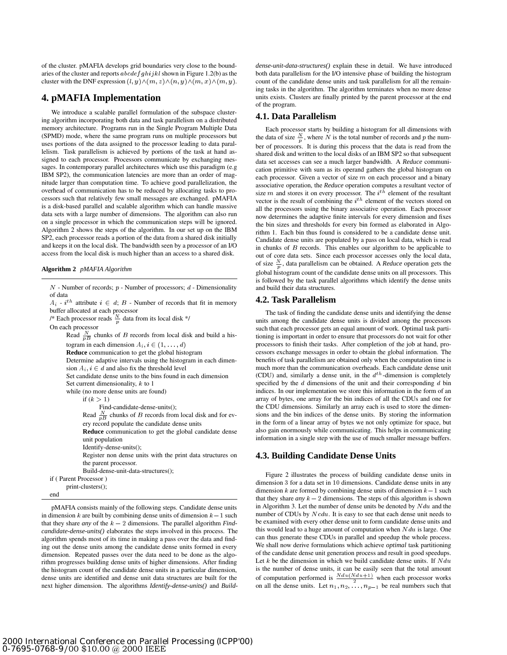of the cluster. pMAFIA develops grid boundaries very close to the boundaries of the cluster and reports  $abcdeffghijkl$  shown in Figure 1.2(b) as the cluster with the DNF expression  $(l, y) \wedge (m, z) \wedge (n, y) \wedge (m, x) \wedge (m, y)$ .

# **4. pMAFIA Implementation**

We introduce a scalable parallel formulation of the subspace clustering algorithm incorporating both data and task parallelism on a distributed memory architecture. Programs run in the Single Program Multiple Data (SPMD) mode, where the same program runs on multiple processors but uses portions of the data assigned to the processor leading to data parallelism. Task parallelism is achieved by portions of the task at hand assigned to each processor. Processors communicate by exchanging messages. In contemporary parallel architectures which use this paradigm (e.g IBM SP2), the communication latencies are more than an order of magnitude larger than computation time. To achieve good parallelization, the overhead of communication has to be reduced by allocating tasks to processors such that relatively few small messages are exchanged. pMAFIA is a disk-based parallel and scalable algorithm which can handle massive data sets with a large number of dimensions. The algorithm can also run on a single processor in which the communication steps will be ignored. Algorithm 2 shows the steps of the algorithm. In our set up on the IBM SP2, each processor reads a portion of the data from a shared disk initially and keeps it on the local disk. The bandwidth seen by a processor of an I/O access from the local disk is much higher than an access to a shared disk.

**Algorithm 2** *pMAFIA Algorithm*

| $N$ - Number of records; $p$ - Number of processors; $d$ - Dimensionality         |
|-----------------------------------------------------------------------------------|
| of data                                                                           |
| $A_i$ - $i^{th}$ attribute $i \in d$ ; $B$ - Number of records that fit in memory |
| buffer allocated at each processor                                                |
| /* Each processor reads $\frac{N}{p}$ data from its local disk */                 |
| On each processor                                                                 |
|                                                                                   |
| Read $\frac{N}{nB}$ chunks of B records from local disk and build a his-          |
| togram in each dimension $A_i, i \in (1, \ldots, d)$                              |
| <b>Reduce</b> communication to get the global histogram                           |
| Determine adaptive intervals using the histogram in each dimen-                   |
| sion $A_i$ , $i \in d$ and also fix the threshold level                           |
| Set candidate dense units to the bins found in each dimension                     |
| Set current dimensionality, $k$ to 1                                              |
| while (no more dense units are found)                                             |
| if $(k > 1)$                                                                      |
| Find-candidate-dense-units();                                                     |
| Read $\frac{N}{nB}$ chunks of <i>B</i> records from local disk and for ev-        |
| ery record populate the candidate dense units                                     |
| Reduce communication to get the global candidate dense                            |
| unit population                                                                   |
| Identify-dense-units();                                                           |
| Register non dense units with the print data structures on                        |
| the parent processor.                                                             |
| Build-dense-unit-data-structures();                                               |
| if (Parent Processor)                                                             |
| print-clusters();                                                                 |
| end                                                                               |
|                                                                                   |
|                                                                                   |

pMAFIA consists mainly of the following steps. Candidate dense units in dimension k are built by combining dense units of dimension  $k-1$  such that they share *any* of the  $k - 2$  dimensions. The parallel algorithm *Findcandidate-dense-units()* elaborates the steps involved in this process. The algorithm spends most of its time in making a pass over the data and finding out the dense units among the candidate dense units formed in every dimension. Repeated passes over the data need to be done as the algorithm progresses building dense units of higher dimensions. After finding the histogram count of the candidate dense units in a particular dimension, dense units are identified and dense unit data structures are built for the next higher dimension. The algorithms *Identify-dense-units()* and *Build-* *dense-unit-data-structures()* explain these in detail. We have introduced both data parallelism for the I/O intensive phase of building the histogram count of the candidate dense units and task parallelism for all the remaining tasks in the algorithm. The algorithm terminates when no more dense units exists. Clusters are finally printed by the parent processor at the end of the program.

# **4.1. Data Parallelism**

Each processor starts by building a histogram for all dimensions with the data of size  $\frac{N}{n}$ , where N is the total number of records and p the number of processors. It is during this process that the data is read from the shared disk and written to the local disks of an IBM SP2 so that subsequent data set accesses can see a much larger bandwidth. A *Reduce* communication primitive with sum as its operand gathers the global histogram on each processor. Given a vector of size  $m$  on each processor and a binary associative operation, the *Reduce* operation computes a resultant vector of size m and stores it on every processor. The  $i<sup>th</sup>$  element of the resultant vector is the result of combining the  $i<sup>th</sup>$  element of the vectors stored on all the processors using the binary associative operation. Each processor now determines the adaptive finite intervals for every dimension and fixes the bin sizes and thresholds for every bin formed as elaborated in Algorithm 1. Each bin thus found is considered to be a candidate dense unit. Candidate dense units are populated by a pass on local data, which is read in chunks of B records. This enables our algorithm to be applicable to out of core data sets. Since each processor accesses only the local data, of size  $\frac{N}{n}$ , data parallelism can be obtained. A *Reduce* operation gets the <sup>p</sup> global histogram count of the candidate dense units on all processors. This is followed by the task parallel algorithms which identify the dense units and build their data structures.

#### **4.2. Task Parallelism**

The task of finding the candidate dense units and identifying the dense units among the candidate dense units is divided among the processors such that each processor gets an equal amount of work. Optimal task partitioning is important in order to ensure that processors do not wait for other processors to finish their tasks. After completion of the job at hand, processors exchange messages in order to obtain the global information. The benefits of task parallelism are obtained only when the computation time is much more than the communication overheads. Each candidate dense unit (CDU) and, similarly a dense unit, in the  $d^{th}$ -dimension is completely specified by the  $d$  dimensions of the unit and their corresponding  $d$  bin indices. In our implementation we store this information in the form of an array of bytes, one array for the bin indices of all the CDUs and one for the CDU dimensions. Similarly an array each is used to store the dimensions and the bin indices of the dense units. By storing the information in the form of a linear array of bytes we not only optimize for space, but also gain enormously while communicating. This helps in communicating information in a single step with the use of much smaller message buffers.

# **4.3. Building Candidate Dense Units**

Figure 2 illustrates the process of building candidate dense units in dimension <sup>3</sup> for a data set in <sup>10</sup> dimensions. Candidate dense units in any dimension k are formed by combining dense units of dimension  $k-1$  such that they share  $any k - 2$  dimensions. The steps of this algorithm is shown in Algorithm 3. Let the number of dense units be denoted by  $N du$  and the number of CDUs by  $N cdu$ . It is easy to see that each dense unit needs to be examined with every other dense unit to form candidate dense units and this would lead to a huge amount of computation when  $N du$  is large. One can thus generate these CDUs in parallel and speedup the whole process. We shall now derive formulations which achieve *optimal* task partitioning of the candidate dense unit generation process and result in good speedups. Let  $k$  be the dimension in which we build candidate dense units. If  $N du$ is the number of dense units, it can be easily seen that the total amount of computation performed is  $\frac{N \cdot du \cdot (N \cdot du + 1)}{2}$  when each processor works on all the dense units. Let  $n_1, n_2, \ldots, n_{p-1}$  be real numbers such that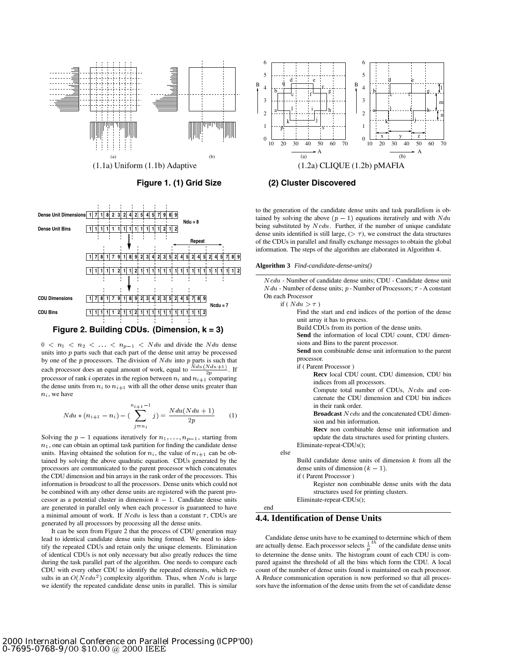



 $0 < n_1 < n_2 < \ldots < n_{p-1} < N du$  and divide the N du dense units into  $p$  parts such that each part of the dense unit array be processed by one of the  $p$  processors. The division of  $N du$  into  $p$  parts is such that each processor does an equal amount of work, equal to processor of rank *i* operates in the region between  $n_i$  and  $n_{i+1}$  comparing  $\frac{N du(N du + 1)}{N}$ . If the dense units from  $n_i$  to  $n_{i+1}$  with all the other dense units greater than  $n_i$ , we have

$$
N du * (n_{i+1} - n_i) - (\sum_{j=n_i}^{n_{i+1}-1} j) = \frac{N du(N du + 1)}{2p}
$$
 (1)

Solving the  $p-1$  equations iteratively for  $n_1, \ldots, n_{p-1}$ , starting from  $n<sub>1</sub>$ , one can obtain an optimal task partition for finding the candidate dense units. Having obtained the solution for  $n_i$ , the value of  $n_{i+1}$  can be obtained by solving the above quadratic equation. CDUs generated by the processors are communicated to the parent processor which concatenates the CDU dimension and bin arrays in the rank order of the processors. This information is *broadcast* to all the processors. Dense units which could not be combined with any other dense units are registered with the parent processor as a potential cluster in dimension  $k - 1$ . Candidate dense units are generated in parallel only when each processor is guaranteed to have a minimal amount of work. If  $Ncdu$  is less than a constant  $\tau$ , CDUs are generated by all processors by processing all the dense units.

It can be seen from Figure 2 that the process of CDU generation may lead to identical candidate dense units being formed. We need to identify the repeated CDUs and retain only the unique elements. Elimination of identical CDUs is not only necessary but also greatly reduces the time during the task parallel part of the algorithm. One needs to compare each CDU with every other CDU to identify the repeated elements, which results in an  $O(Ncdu^2)$  complexity algorithm. Thus, when  $N cdu$  is large we identify the repeated candidate dense units in parallel. This is similar



#### **Figure 1. (1) Grid Size (2) Cluster Discovered**

to the generation of the candidate dense units and task parallelism is obtained by solving the above  $(p - 1)$  equations iteratively and with  $N du$ being substituted by  $N cdu$ . Further, if the number of unique candidate dense units identified is still large,  $(>\tau)$ , we construct the data structures of the CDUs in parallel and finally exchange messages to obtain the global information. The steps of the algorithm are elaborated in Algorithm 4.

**Algorithm 3** *Find-candidate-dense-units()*

N cdu - Number of candidate dense units; CDU - Candidate dense unit  $N du$  - Number of dense units; p - Number of Processors;  $\tau$  - A constant On each Processor

if ( $N du > \tau$ )

Find the start and end indices of the portion of the dense unit array it has to process.

Build CDUs from its portion of the dense units.

**Send** the information of local CDU count, CDU dimensions and Bins to the parent processor.

**Send** non combinable dense unit information to the parent processor.

if ( Parent Processor )

**Recv** local CDU count, CDU dimension, CDU bin indices from all processors.

Compute total number of CDUs, N cdu and concatenate the CDU dimension and CDU bin indices in their rank order.

**Broadcast** N cdu and the concatenated CDU dimension and bin information.

**Recv** non combinable dense unit information and update the data structures used for printing clusters. Eliminate-repeat-CDUs();

else

Build candidate dense units of dimension  $k$  from all the dense units of dimension  $(k - 1)$ .

if ( Parent Processor )

Register non combinable dense units with the data structures used for printing clusters. Eliminate-repeat-CDUs();

### end

#### **4.4. Identification of Dense Units**

Candidate dense units have to be examined to determine which of them are actually dense. Each processor selects  $\frac{1}{p}$  of the candidate dense units to determine the dense units. The histogram count of each CDU is compared against the threshold of all the bins which form the CDU. A local count of the number of dense units found is maintained on each processor. A *Reduce* communication operation is now performed so that all processors have the information of the dense units from the set of candidate dense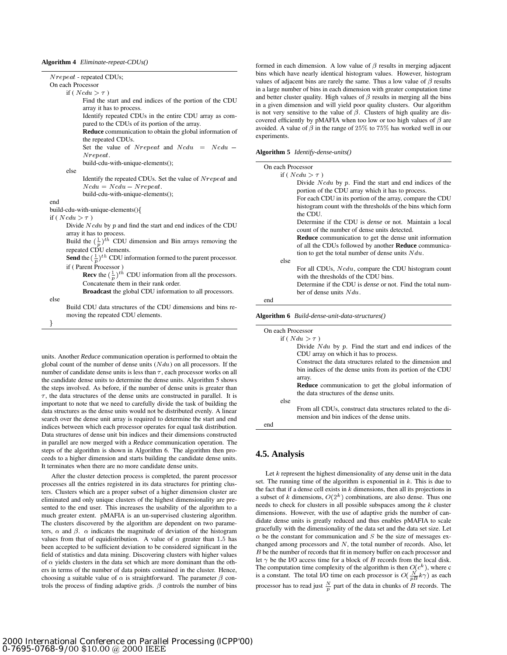#### **Algorithm 4** *Eliminate-repeat-CDUs()*

N repeat - repeated CDUs; On each Processor if (  $N cdu > \tau$  ) Find the start and end indices of the portion of the CDU array it has to process. Identify repeated CDUs in the entire CDU array as compared to the CDUs of its portion of the array. **Reduce** communication to obtain the global information of the repeated CDUs. Set the value of N repeat and  $N cdu = N cdu$  -N repeat. build-cdu-with-unique-elements(); else Identify the repeated CDUs. Set the value of N repeat and  $N c du = N c du - N r e$ eat. build-cdu-with-unique-elements(); end build-cdu-with-unique-elements(){ if (  $Ncdu > \tau$  ) Divide  $N cdu$  by  $p$  and find the start and end indices of the CDU array it has to process. Build the  $(\frac{1}{n})^{th}$  CDU dimension and Bin arrays removing the repeated CDU elements. **Send** the  $\left(\frac{1}{p}\right)^{th}$  CDU information formed to the parent processor. if ( Parent Processor ) **Recv** the  $(\frac{1}{p})^{th}$  CDU information from all the processors. Concatenate them in their rank order. **Broadcast** the global CDU information to all processors. else Build CDU data structures of the CDU dimensions and bins removing the repeated CDU elements. and the contract of the contract of the contract of the contract of the contract of the contract of the contract of end

units. Another *Reduce* communication operation is performed to obtain the global count of the number of dense units  $(N du)$  on all processors. If the number of candidate dense units is less than  $\tau$ , each processor works on all the candidate dense units to determine the dense units. Algorithm 5 shows the steps involved. As before, if the number of dense units is greater than  $\tau$ , the data structures of the dense units are constructed in parallel. It is important to note that we need to carefully divide the task of building the data structures as the dense units would not be distributed evenly. A linear search over the dense unit array is required to determine the start and end indices between which each processor operates for equal task distribution. Data structures of dense unit bin indices and their dimensions constructed in parallel are now merged with a *Reduce* communication operation. The steps of the algorithm is shown in Algorithm 6. The algorithm then proceeds to a higher dimension and starts building the candidate dense units. It terminates when there are no more candidate dense units.

After the cluster detection process is completed, the parent processor processes all the entries registered in its data structures for printing clusters. Clusters which are a proper subset of a higher dimension cluster are eliminated and only unique clusters of the highest dimensionality are presented to the end user. This increases the usability of the algorithm to a much greater extent. pMAFIA is an un-supervised clustering algorithm. The clusters discovered by the algorithm are dependent on two parameters,  $\alpha$  and  $\beta$ .  $\alpha$  indicates the magnitude of deviation of the histogram values from that of equidistribution. A value of  $\alpha$  greater than 1.5 has been accepted to be sufficient deviation to be considered significant in the field of statistics and data mining. Discovering clusters with higher values of  $\alpha$  yields clusters in the data set which are more dominant than the others in terms of the number of data points contained in the cluster. Hence, choosing a suitable value of  $\alpha$  is straightforward. The parameter  $\beta$  controls the process of finding adaptive grids.  $\beta$  controls the number of bins

formed in each dimension. A low value of  $\beta$  results in merging adjacent bins which have nearly identical histogram values. However, histogram values of adjacent bins are rarely the same. Thus a low value of  $\beta$  results in a large number of bins in each dimension with greater computation time and better cluster quality. High values of  $\beta$  results in merging all the bins in a given dimension and will yield poor quality clusters. Our algorithm is not very sensitive to the value of  $\beta$ . Clusters of high quality are discovered efficiently by pMAFIA when too low or too high values of  $\beta$  are avoided. A value of  $\beta$  in the range of 25% to 75% has worked well in our experiments.

#### **Algorithm 5** *Identify-dense-units()*

| On each Processor |                                                                                                                                                                                                                                           |
|-------------------|-------------------------------------------------------------------------------------------------------------------------------------------------------------------------------------------------------------------------------------------|
|                   | if ( $Ncdu > \tau$ )                                                                                                                                                                                                                      |
|                   | Divide $Ncdu$ by p. Find the start and end indices of the<br>portion of the CDU array which it has to process.<br>For each CDU in its portion of the array, compare the CDU<br>histogram count with the thresholds of the bins which form |
|                   | the CDU.                                                                                                                                                                                                                                  |
|                   | Determine if the CDU is <i>dense</i> or not. Maintain a local<br>count of the number of dense units detected.                                                                                                                             |
|                   | <b>Reduce</b> communication to get the dense unit information<br>of all the CDUs followed by another <b>Reduce</b> communica-<br>tion to get the total number of dense units $N \, du$ .                                                  |
| else              |                                                                                                                                                                                                                                           |
|                   | For all CDUs, Ncdu, compare the CDU histogram count<br>with the thresholds of the CDU bins.<br>Determine if the CDU is <i>dense</i> or not. Find the total num-<br>ber of dense units $N du$ .                                            |
| end               |                                                                                                                                                                                                                                           |

**Algorithm 6** *Build-dense-unit-data-structures()*

| On each Processor                                            |
|--------------------------------------------------------------|
| if ( $Ndu > \tau$ )                                          |
| Divide $N du$ by $p$ . Find the start and end indices of the |
| CDU array on which it has to process.                        |
| Construct the data structures related to the dimension and   |
| bin indices of the dense units from its portion of the CDU   |
| array.                                                       |
| <b>Reduce</b> communication to get the global information of |
| the data structures of the dense units.                      |
| else                                                         |
| From all CDUs, construct data structures related to the di-  |
| mension and bin indices of the dense units.                  |
| end                                                          |

### **4.5. Analysis**

Let  $k$  represent the highest dimensionality of any dense unit in the data set. The running time of the algorithm is exponential in  $k$ . This is due to the fact that if a dense cell exists in  $k$  dimensions, then all its projections in a subset of k dimensions,  $O(2^k)$  combinations, are also dense. Thus one needs to check for clusters in all possible subspaces among the  $k$  cluster dimensions. However, with the use of adaptive grids the number of candidate dense units is greatly reduced and thus enables pMAFIA to scale gracefully with the dimensionality of the data set and the data set size. Let  $\alpha$  be the constant for communication and S be the size of messages exchanged among processors and  $N$ , the total number of records. Also, let B be the number of records that fit in memory buffer on each processor and let  $\gamma$  be the I/O access time for a block of B records from the local disk. The computation time complexity of the algorithm is then  $O(c^k)$ , where c is a constant. The total I/O time on each processor is  $O(\frac{N}{pB}k\gamma)$  as each processor has to read just  $\frac{N}{p}$  part of the data in chunks of B records. The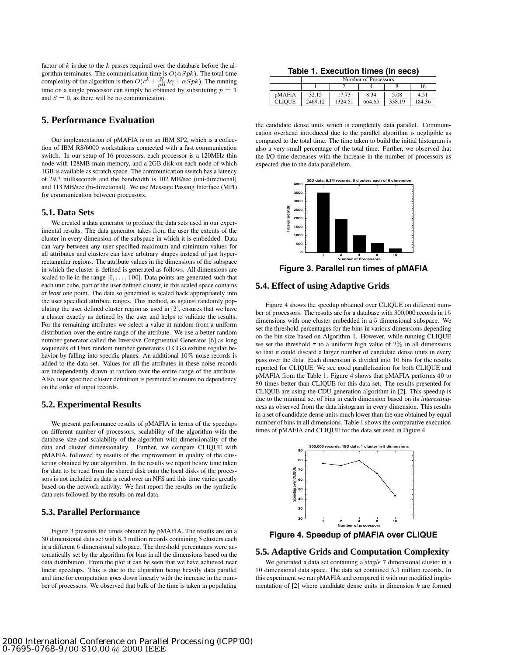factor of  $k$  is due to the  $k$  passes required over the database before the algorithm terminates. The communication time is  $O(\alpha Spk)$ . The total time complexity of the algorithm is then  $O(c^k + \frac{N}{nB}k\gamma + \alpha Spk)$ . The running time on a single processor can simply be obtained by substituting  $p = 1$ and  $S = 0$ , as there will be no communication.

# **5. Performance Evaluation**

Our implementation of pMAFIA is on an IBM SP2, which is a collection of IBM RS/6000 workstations connected with a fast communication switch. In our setup of 16 processors, each processor is a 120MHz thin node with 128MB main memory, and a 2GB disk on each node of which 1GB is available as scratch space. The communication switch has a latency of 29.3 milliseconds and the bandwidth is 102 MB/sec (uni-directional) and 113 MB/sec (bi-directional). We use Message Passing Interface (MPI) for communication between processors.

#### **5.1. Data Sets**

We created a data generator to produce the data sets used in our experimental results. The data generator takes from the user the extents of the cluster in every dimension of the subspace in which it is embedded. Data can vary between any user specified maximum and minimum values for all attributes and clusters can have arbitrary shapes instead of just hyperrectangular regions. The attribute values in the dimensions of the subspace in which the cluster is defined is generated as follows. All dimensions are scaled to lie in the range  $[0,\ldots,100]$ . Data points are generated such that each unit cube, part of the user defined cluster, in this scaled space contains *at least* one point. The data so generated is scaled back appropriately into the user specified attribute ranges. This method, as against randomly populating the user defined cluster region as used in [2], ensures that we have a cluster exactly as defined by the user and helps to validate the results. For the remaining attributes we select a value at random from a uniform distribution over the entire range of the attribute. We use a better random number generator called the Inversive Congruential Generator [6] as long sequences of Unix random number generators (LCGs) exhibit regular behavior by falling into specific planes. An additional 10% noise records is added to the data set. Values for all the attributes in these noise records are independently drawn at random over the entire range of the attribute. Also, user specified cluster definition is permuted to ensure no dependency on the order of input records.

### **5.2. Experimental Results**

We present performance results of pMAFIA in terms of the speedups on different number of processors, scalability of the algorithm with the database size and scalability of the algorithm with dimensionality of the data and cluster dimensionality. Further, we compare CLIQUE with pMAFIA, followed by results of the improvement in quality of the clustering obtained by our algorithm. In the results we report below time taken for data to be read from the shared disk onto the local disks of the processors is not included as data is read over an NFS and this time varies greatly based on the network activity. We first report the results on the synthetic data sets followed by the results on real data.

### **5.3. Parallel Performance**

Figure 3 presents the times obtained by pMAFIA. The results are on a <sup>30</sup> dimensional data set with 8:3 million records containing 5 clusters each in a different <sup>6</sup> dimensional subspace. The threshold percentages were automatically set by the algorithm for bins in all the dimensions based on the data distribution. From the plot it can be seen that we have achieved near linear speedups. This is due to the algorithm being heavily data parallel and time for computation goes down linearly with the increase in the number of processors. We observed that bulk of the time is taken in populating

**Table 1. Execution times (in secs)**

|               | Number of Processors |         |        |        |        |  |  |  |
|---------------|----------------------|---------|--------|--------|--------|--|--|--|
|               |                      |         |        |        |        |  |  |  |
| <b>pMAFIA</b> | 32.15                | 17.73   | 8.34   | 5.08   | 4.51   |  |  |  |
| <b>CLIOUE</b> | 2469 12              | 1324.51 | 664.65 | 338.19 | 184.36 |  |  |  |

the candidate dense units which is completely data parallel. Communication overhead introduced due to the parallel algorithm is negligible as compared to the total time. The time taken to build the initial histogram is also a very small percentage of the total time. Further, we observed that the I/O time decreases with the increase in the number of processors as expected due to the data parallelism.



**Figure 3. Parallel run times of pMAFIA**

#### **5.4. Effect of using Adaptive Grids**

Figure 4 shows the speedup obtained over CLIQUE on different number of processors. The results are for a database with 300,000 records in <sup>15</sup> dimensions with one cluster embedded in a <sup>5</sup> dimensional subspace. We set the threshold percentages for the bins in various dimensions depending on the bin size based on Algorithm 1. However, while running CLIQUE we set the threshold  $\tau$  to a uniform high value of 2% in all dimensions so that it could discard a larger number of candidate dense units in every pass over the data. Each dimension is divided into <sup>10</sup> bins for the results reported for CLIQUE. We see good parallelization for both CLIQUE and pMAFIA from the Table 1. Figure 4 shows that pMAFIA performs <sup>40</sup> to <sup>80</sup> times better than CLIQUE for this data set. The results presented for CLIQUE are using the CDU generation algorithm in [2]. This speedup is due to the minimal set of bins in each dimension based on its *interestingness* as observed from the data histogram in every dimension. This results in a set of candidate dense units much lower than the one obtained by equal number of bins in all dimensions. Table 1 shows the comparative execution times of pMAFIA and CLIQUE for the data set used in Figure 4.



**Figure 4. Speedup of pMAFIA over CLIQUE**

#### **5.5. Adaptive Grids and Computation Complexity**

We generated a data set containing a *single* <sup>7</sup> dimensional cluster in a <sup>10</sup> dimensional data space. The data set contained 5:4 million records. In this experiment we ran pMAFIA and compared it with our modified implementation of  $[2]$  where candidate dense units in dimension k are formed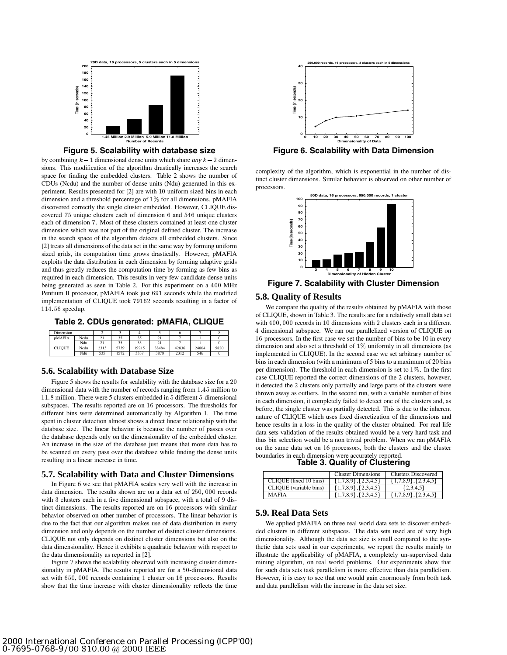

**Figure 5. Scalability with database size**

by combining  $k-1$  dimensional dense units which share *any*  $k-2$  dimensions. This modification of the algorithm drastically increases the search space for finding the embedded clusters. Table 2 shows the number of CDUs (Ncdu) and the number of dense units (Ndu) generated in this experiment. Results presented for [2] are with <sup>10</sup> uniform sized bins in each dimension and a threshold percentage of 1% for all dimensions. pMAFIA discovered correctly the single cluster embedded. However, CLIQUE discovered <sup>75</sup> unique clusters each of dimension <sup>6</sup> and <sup>546</sup> unique clusters each of dimension <sup>7</sup>. Most of these clusters contained at least one cluster dimension which was not part of the original defined cluster. The increase in the search space of the algorithm detects all embedded clusters. Since [2] treats all dimensions of the data set in the same way by forming uniform sized grids, its computation time grows drastically. However, pMAFIA exploits the data distribution in each dimension by forming adaptive grids and thus greatly reduces the computation time by forming as few bins as required in each dimension. This results in very few candidate dense units being generated as seen in Table 2. For this experiment on a <sup>400</sup> MHz Pentium II processor, pMAFIA took just <sup>691</sup> seconds while the modified implementation of CLIQUE took <sup>79162</sup> seconds resulting in a factor of 114:56 speedup.

**Table 2. CDUs generated: pMAFIA, CLIQUE**

| Dimension     |      |      |      |       |       |       |       |      |
|---------------|------|------|------|-------|-------|-------|-------|------|
| <b>pMAFIA</b> | Nedu | 21   | 35   | 35    | 41    |       |       |      |
|               | Ndu  | 41   |      |       | 41    |       |       |      |
| <b>CLIOUE</b> | Nedu | 2313 | 5739 | 19215 | 38484 | 42836 | 24804 | 5820 |
|               | Ndu  | 535  | 1572 | 3337  | 3870  | 2312  | 546   |      |

#### **5.6. Scalability with Database Size**

Figure 5 shows the results for scalability with the database size for a <sup>20</sup> dimensional data with the number of records ranging from 1:45 million to 11:8 million. There were 5 clusters embedded in <sup>5</sup> different <sup>5</sup>-dimensional subspaces. The results reported are on <sup>16</sup> processors. The thresholds for different bins were determined automatically by Algorithm 1. The time spent in cluster detection almost shows a direct linear relationship with the database size. The linear behavior is because the number of passes over the database depends only on the dimensionality of the embedded cluster. An increase in the size of the database just means that more data has to be scanned on every pass over the database while finding the dense units resulting in a linear increase in time.

#### **5.7. Scalability with Data and Cluster Dimensions**

In Figure 6 we see that pMAFIA scales very well with the increase in data dimension. The results shown are on a data set of 250; <sup>000</sup> records with <sup>3</sup> clusters each in a five dimensional subspace, with a total of <sup>9</sup> distinct dimensions. The results reported are on <sup>16</sup> processors with similar behavior observed on other number of processors. The linear behavior is due to the fact that our algorithm makes use of data distribution in every dimension and only depends on the number of distinct cluster dimensions. CLIQUE not only depends on distinct cluster dimensions but also on the data dimensionality. Hence it exhibits a quadratic behavior with respect to the data dimensionality as reported in [2].

Figure 7 shows the scalability observed with increasing cluster dimensionality in pMAFIA. The results reported are for a <sup>50</sup>-dimensional data set with 650,000 records containing 1 cluster on 16 processors. Results show that the time increase with cluster dimensionality reflects the time



**Figure 6. Scalability with Data Dimension**

complexity of the algorithm, which is exponential in the number of distinct cluster dimensions. Similar behavior is observed on other number of processors.



**Figure 7. Scalability with Cluster Dimension**

# **5.8. Quality of Results**

We compare the quality of the results obtained by pMAFIA with those of CLIQUE, shown in Table 3. The results are for a relatively small data set with 400; <sup>000</sup> records in <sup>10</sup> dimensions with <sup>2</sup> clusters each in a different <sup>4</sup> dimensional subspace. We ran our parallelized version of CLIQUE on <sup>16</sup> processors. In the first case we set the number of bins to be 10 in every dimension and also set a threshold of 1% uniformly in all dimensions (as implemented in CLIQUE). In the second case we set arbitrary number of bins in each dimension (with a minimum of 5 bins to a maximum of 20 bins per dimension). The threshold in each dimension is set to 1%. In the first case CLIQUE reported the correct dimensions of the 2 clusters, however, it detected the 2 clusters only partially and large parts of the clusters were thrown away as outliers. In the second run, with a variable number of bins in each dimension, it completely failed to detect one of the clusters and, as before, the single cluster was partially detected. This is due to the inherent nature of CLIQUE which uses fixed discretization of the dimensions and hence results in a loss in the quality of the cluster obtained. For real life data sets validation of the results obtained would be a very hard task and thus bin selection would be a non trivial problem. When we ran pMAFIA on the same data set on 16 processors, both the clusters and the cluster boundaries in each dimension were accurately reported.

**Table 3. Quality of Clustering**

|                        | <b>Cluster Dimensions</b>  | <b>Clusters Discovered</b> |
|------------------------|----------------------------|----------------------------|
| CLIOUE (fixed 10 bins) | $\{1,7,8,9\}, \{2,3,4,5\}$ | $\{1,7,8,9\}, \{2,3,4,5\}$ |
| CLIQUE (variable bins) | ${1,7,8,9}, {2,3,4,5}$     | 2,3,4,5                    |
| MAFIA                  | ${1,7,8,9}, {2,3,4,5}$     | $\{1,7,8,9\}, \{2,3,4,5\}$ |

# **5.9. Real Data Sets**

We applied pMAFIA on three real world data sets to discover embedded clusters in different subspaces. The data sets used are of very high dimensionality. Although the data set size is small compared to the synthetic data sets used in our experiments, we report the results mainly to illustrate the applicability of pMAFIA, a completely un-supervised data mining algorithm, on real world problems. Our experiments show that for such data sets task parallelism is more effective than data parallelism. However, it is easy to see that one would gain enormously from both task and data parallelism with the increase in the data set size.